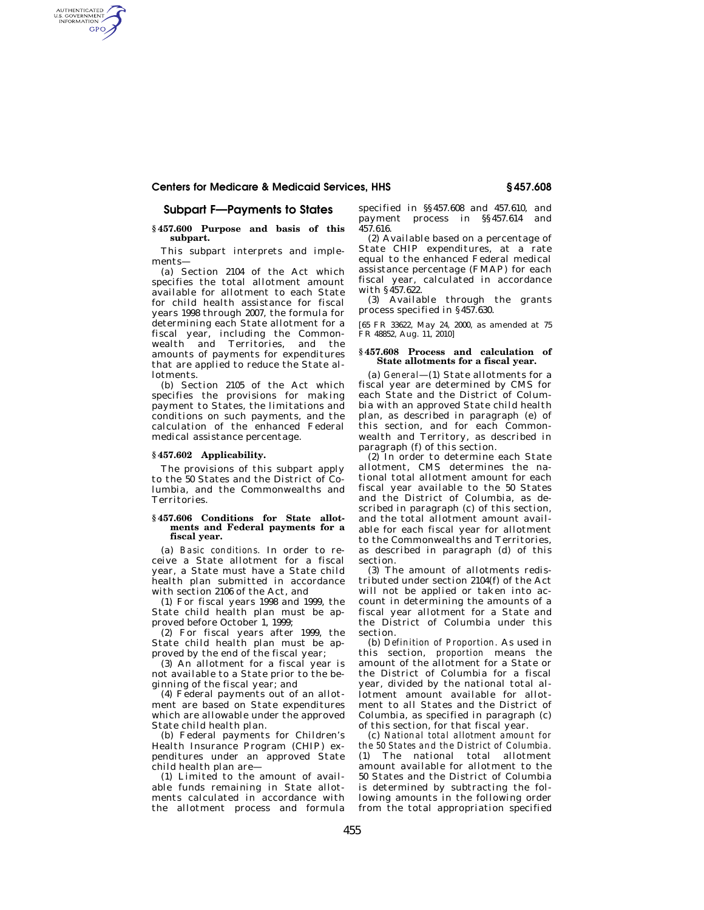# **Centers for Medicare & Medicaid Services, HHS § 457.608**

# **Subpart F—Payments to States**

AUTHENTICATED<br>U.S. GOVERNMENT<br>INFORMATION **GPO** 

## **§ 457.600 Purpose and basis of this subpart.**

This subpart interprets and implements—

(a) Section 2104 of the Act which specifies the total allotment amount available for allotment to each State for child health assistance for fiscal years 1998 through 2007, the formula for determining each State allotment for a fiscal year, including the Commonwealth and Territories, and the amounts of payments for expenditures that are applied to reduce the State allotments.

(b) Section 2105 of the Act which specifies the provisions for making payment to States, the limitations and conditions on such payments, and the calculation of the enhanced Federal medical assistance percentage.

# **§ 457.602 Applicability.**

The provisions of this subpart apply to the 50 States and the District of Columbia, and the Commonwealths and Territories.

#### **§ 457.606 Conditions for State allotments and Federal payments for a fiscal year.**

(a) *Basic conditions.* In order to receive a State allotment for a fiscal year, a State must have a State child health plan submitted in accordance with section 2106 of the Act, and

(1) For fiscal years 1998 and 1999, the State child health plan must be approved before October 1, 1999;

(2) For fiscal years after 1999, the State child health plan must be approved by the end of the fiscal year;

(3) An allotment for a fiscal year is not available to a State prior to the beginning of the fiscal year; and

(4) Federal payments out of an allotment are based on State expenditures which are allowable under the approved State child health plan.

(b) Federal payments for Children's Health Insurance Program (CHIP) expenditures under an approved State child health plan are—

(1) Limited to the amount of available funds remaining in State allotments calculated in accordance with the allotment process and formula specified in §§457.608 and 457.610, and payment process in §§457.614 and 457.616.

(2) Available based on a percentage of State CHIP expenditures, at a rate equal to the enhanced Federal medical assistance percentage (FMAP) for each fiscal year, calculated in accordance with §457.622.

(3) Available through the grants process specified in §457.630.

[65 FR 33622, May 24, 2000, as amended at 75 FR 48852, Aug. 11, 2010]

### **§ 457.608 Process and calculation of State allotments for a fiscal year.**

(a) *General*—(1) State allotments for a fiscal year are determined by CMS for each State and the District of Columbia with an approved State child health plan, as described in paragraph (e) of this section, and for each Commonwealth and Territory, as described in paragraph (f) of this section.

(2) In order to determine each State allotment, CMS determines the national total allotment amount for each fiscal year available to the 50 States and the District of Columbia, as described in paragraph (c) of this section, and the total allotment amount available for each fiscal year for allotment to the Commonwealths and Territories, as described in paragraph (d) of this section.

(3) The amount of allotments redistributed under section 2104(f) of the Act will not be applied or taken into account in determining the amounts of a fiscal year allotment for a State and the District of Columbia under this section.

(b) *Definition of Proportion.* As used in this section, *proportion* means the amount of the allotment for a State or the District of Columbia for a fiscal year, divided by the national total allotment amount available for allotment to all States and the District of Columbia, as specified in paragraph (c) of this section, for that fiscal year.

(c) *National total allotment amount for the 50 States and the District of Columbia.*  (1) The national total allotment amount available for allotment to the 50 States and the District of Columbia is determined by subtracting the following amounts in the following order from the total appropriation specified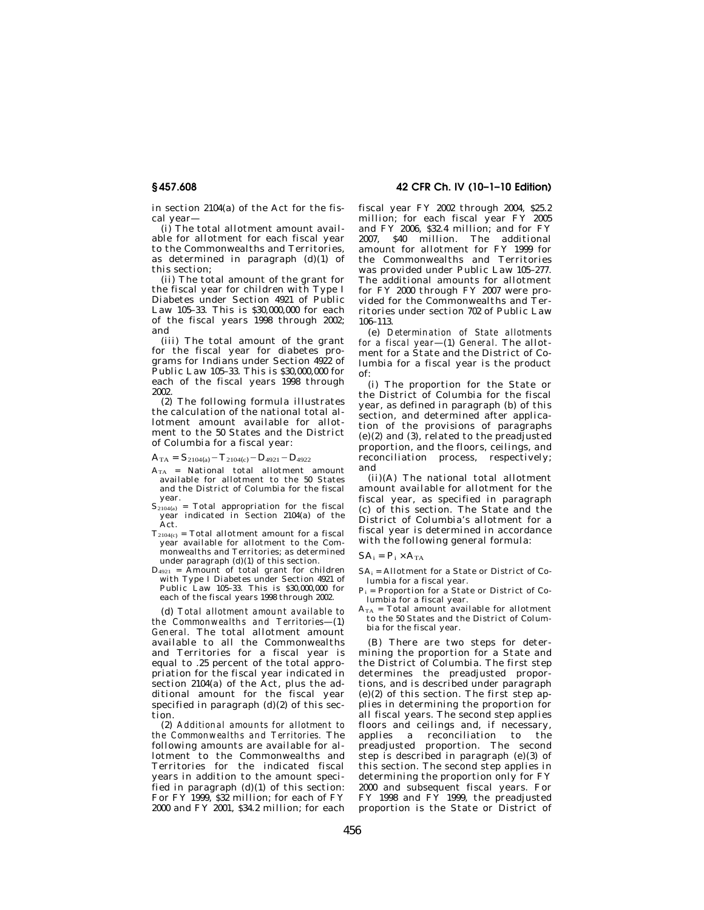in section 2104(a) of the Act for the fiscal year—

(i) The total allotment amount available for allotment for each fiscal year to the Commonwealths and Territories, as determined in paragraph (d)(1) of this section;

(ii) The total amount of the grant for the fiscal year for children with Type I Diabetes under Section 4921 of Public Law 105–33. This is \$30,000,000 for each of the fiscal years 1998 through 2002; and

(iii) The total amount of the grant for the fiscal year for diabetes programs for Indians under Section 4922 of Public Law 105–33. This is \$30,000,000 for each of the fiscal years 1998 through 2002.

(2) The following formula illustrates the calculation of the national total allotment amount available for allotment to the 50 States and the District of Columbia for a fiscal year:

 $A_{TA} = S_{2104(a)} - T_{2104(c)} - D_{4921} - D_{4922}$ 

- $A_{TA}$  = National total allotment amount available for allotment to the 50 States and the District of Columbia for the fiscal
- year.<br> $S_{2104(a)}$  = Total appropriation for the fiscal year indicated in Section 2104(a) of the Act.
- $T_{2104(c)}$  = Total allotment amount for a fiscal year available for allotment to the Commonwealths and Territories; as determined under paragraph (d)(1) of this section.
- $D_{4921}$  = Amount of total grant for children with Type I Diabetes under Section 4921 of Public Law 105–33. This is \$30,000,000 for each of the fiscal years 1998 through 2002.

(d) *Total allotment amount available to the Commonwealths and Territories*—(1) *General.* The total allotment amount available to all the Commonwealths and Territories for a fiscal year is equal to .25 percent of the total appropriation for the fiscal year indicated in section 2104(a) of the Act, plus the additional amount for the fiscal year specified in paragraph  $(d)(2)$  of this section.

(2) *Additional amounts for allotment to the Commonwealths and Territories.* The following amounts are available for allotment to the Commonwealths and Territories for the indicated fiscal years in addition to the amount specified in paragraph (d)(1) of this section: For FY 1999, \$32 million; for each of FY 2000 and FY 2001, \$34.2 million; for each

**§ 457.608 42 CFR Ch. IV (10–1–10 Edition)** 

fiscal year FY 2002 through 2004, \$25.2 million; for each fiscal year FY 2005 and FY 2006, \$32.4 million; and for FY 2007, \$40 million. The additional amount for allotment for FY 1999 for the Commonwealths and Territories was provided under Public Law 105–277. The additional amounts for allotment for FY 2000 through FY 2007 were provided for the Commonwealths and Territories under section 702 of Public Law 106–113.

(e) *Determination of State allotments for a fiscal year*—(1) *General.* The allotment for a State and the District of Columbia for a fiscal year is the product of:

(i) The proportion for the State or the District of Columbia for the fiscal year, as defined in paragraph (b) of this section, and determined after application of the provisions of paragraphs  $(e)(2)$  and  $(3)$ , related to the preadjusted proportion, and the floors, ceilings, and reconciliation process, respectively; and

(ii)(A) The national total allotment amount available for allotment for the fiscal year, as specified in paragraph (c) of this section. The State and the District of Columbia's allotment for a fiscal year is determined in accordance with the following general formula:

## $SA_i = P_i \times A_{TA}$

 $SA_i =$  Allotment for a State or District of Columbia for a fiscal year.

- $P_i$  = Proportion for a State or District of Columbia for a fiscal year.
- $A_{TA}$  = Total amount available for allotment to the 50 States and the District of Columbia for the fiscal year.

(B) There are two steps for determining the proportion for a State and the District of Columbia. The first step determines the preadjusted proportions, and is described under paragraph  $(e)(2)$  of this section. The first step applies in determining the proportion for all fiscal years. The second step applies floors and ceilings and, if necessary, applies a reconciliation to the<br>preadjusted proportion. The second proportion. The second step is described in paragraph (e)(3) of this section. The second step applies in determining the proportion only for FY 2000 and subsequent fiscal years. For FY 1998 and  $F\dot{Y}$  1999, the preadjusted proportion is the State or District of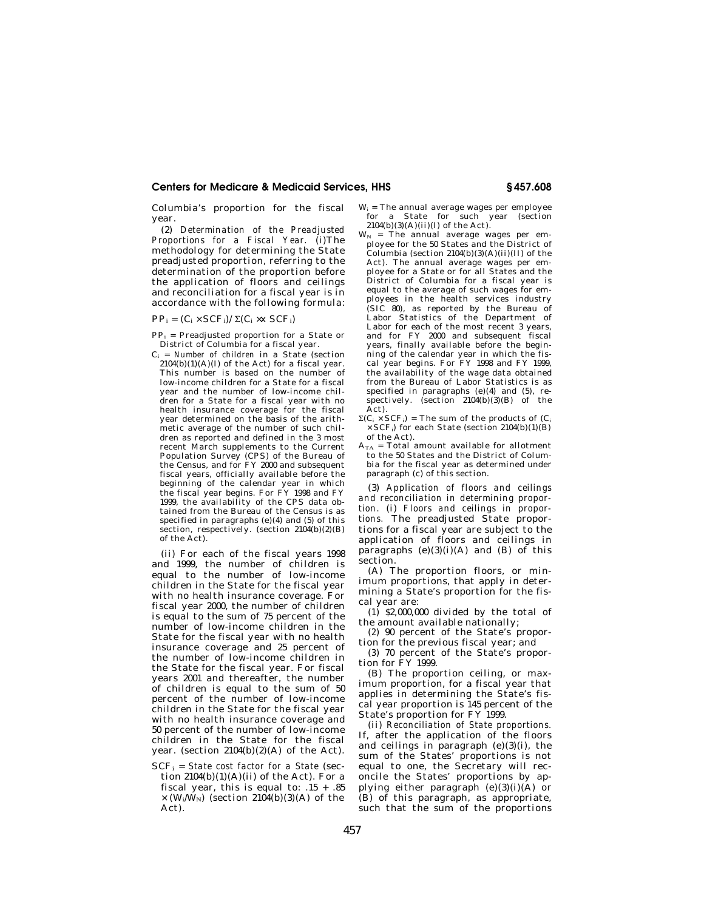# **Centers for Medicare & Medicaid Services, HHS § 457.608**

Columbia's proportion for the fiscal year.

(2) *Determination of the Preadjusted Proportions for a Fiscal Year.* (i)The methodology for determining the State preadjusted proportion, referring to the determination of the proportion before the application of floors and ceilings and reconciliation for a fiscal year is in accordance with the following formula:

 $PP_i = (C_i \times SCF_i)/\Sigma(C_i \times X SCF_i)$ 

- $PP_i$  = Preadjusted proportion for a State or District of Columbia for a fiscal year.
- Ci = *Number of children* in a State (section  $2104(b)(1)(A)(I)$  of the Act) for a fiscal year. This number is based on the number of low-income children for a State for a fiscal year and the number of low-income children for a State for a fiscal year with no health insurance coverage for the fiscal year determined on the basis of the arithmetic average of the number of such children as reported and defined in the 3 most recent March supplements to the Current Population Survey (CPS) of the Bureau of the Census, and for FY 2000 and subsequent fiscal years, officially available before the beginning of the calendar year in which the fiscal year begins. For FY 1998 and FY 1999, the availability of the CPS data obtained from the Bureau of the Census is as specified in paragraphs  $(e)(4)$  and  $(5)$  of this section, respectively. (section 2104(b)(2)(B) of the Act).

(ii) For each of the fiscal years 1998 and 1999, the number of children is equal to the number of low-income children in the State for the fiscal year with no health insurance coverage. For fiscal year 2000, the number of children is equal to the sum of 75 percent of the number of low-income children in the State for the fiscal year with no health insurance coverage and 25 percent of the number of low-income children in the State for the fiscal year. For fiscal years 2001 and thereafter, the number of children is equal to the sum of 50 percent of the number of low-income children in the State for the fiscal year with no health insurance coverage and 50 percent of the number of low-income children in the State for the fiscal year. (section 2104(b)(2)(A) of the Act).

SCFi = *State cost factor for a State* (section  $2104(b)(1)(A)(ii)$  of the Act). For a fiscal year, this is equal to:  $.15 + .85$  $\times$  (W<sub>i</sub>/W<sub>N</sub>) (section 2104(b)(3)(A) of the Act).

- $W_i$  = The annual average wages per employee for a State for such year (section 2104(b)(3)(A)(ii)(I) of the Act).
- $W_N$  = The annual average wages per employee for the 50 States and the District of Columbia (section  $2104(b)(3)(A)(ii)(II)$  of the Act). The annual average wages per employee for a State or for all States and the District of Columbia for a fiscal year is equal to the average of such wages for employees in the health services industry (SIC 80), as reported by the Bureau of Labor Statistics of the Department of Labor for each of the most recent 3 years, and for FY 2000 and subsequent fiscal years, finally available before the beginning of the calendar year in which the fiscal year begins. For FY 1998 and FY 1999, the availability of the wage data obtained from the Bureau of Labor Statistics is as specified in paragraphs  $(e)(4)$  and  $(5)$ , respectively. (section  $2104(b)(3)(B)$  of the Act).
- $\Sigma(C_i \times SCF_i)$  = The sum of the products of  $(C_i$  $\times$  SCF<sub>i</sub>) for each State (section 2104(b)(1)(B) of the Act).
- $A_{TA}$  = Total amount available for allotment to the 50 States and the District of Columbia for the fiscal year as determined under paragraph (c) of this section.

(3) *Application of floors and ceilings and reconciliation in determining proportion.* (i) *Floors and ceilings in proportions.* The preadjusted State proportions for a fiscal year are subject to the application of floors and ceilings in paragraphs  $(e)(3)(i)(A)$  and  $(B)$  of this section.

(A) The proportion floors, or minimum proportions, that apply in determining a State's proportion for the fiscal year are:

(*1*) \$2,000,000 divided by the total of the amount available nationally;

(*2*) 90 percent of the State's proportion for the previous fiscal year; and

(*3*) 70 percent of the State's proportion for FY 1999.

(B) The proportion ceiling, or maximum proportion, for a fiscal year that applies in determining the State's fiscal year proportion is 145 percent of the State's proportion for FY 1999.

(ii) *Reconciliation of State proportions.*  If, after the application of the floors and ceilings in paragraph  $(e)(3)(i)$ , the sum of the States' proportions is not equal to one, the Secretary will reconcile the States' proportions by applying either paragraph  $(e)(3)(i)(A)$  or (B) of this paragraph, as appropriate, such that the sum of the proportions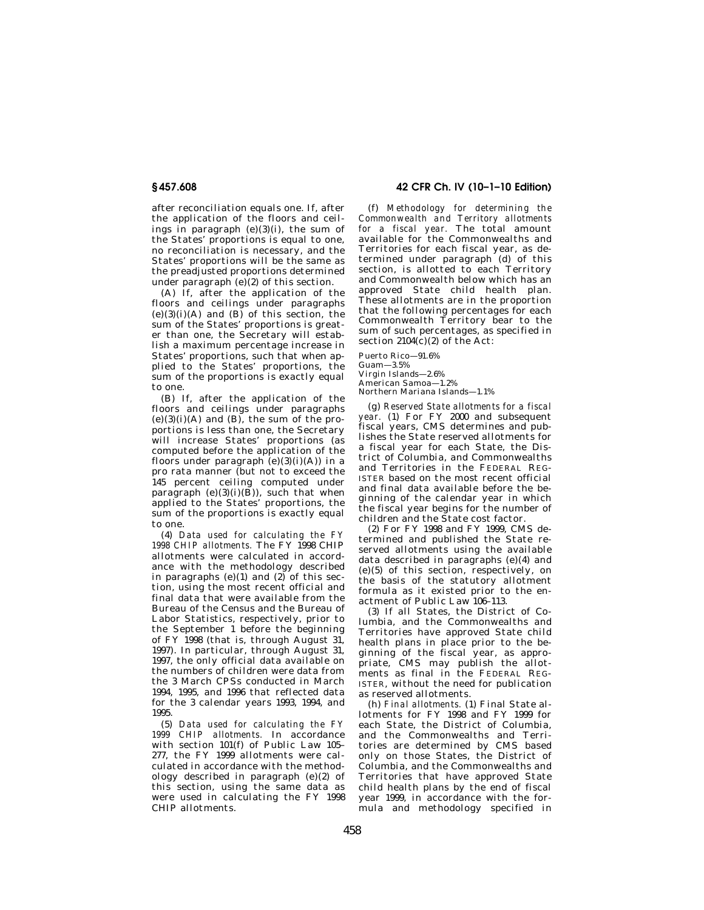after reconciliation equals one. If, after the application of the floors and ceilings in paragraph  $(e)(3)(i)$ , the sum of the States' proportions is equal to one, no reconciliation is necessary, and the States' proportions will be the same as the preadjusted proportions determined under paragraph  $(e)(2)$  of this section.

(A) If, after the application of the floors and ceilings under paragraphs  $(e)(3)(i)(A)$  and  $(B)$  of this section, the sum of the States' proportions is greater than one, the Secretary will establish a maximum percentage increase in States' proportions, such that when applied to the States' proportions, the sum of the proportions is exactly equal to one.

(B) If, after the application of the floors and ceilings under paragraphs  $(e)(3)(i)(A)$  and  $(B)$ , the sum of the proportions is less than one, the Secretary will increase States' proportions (as computed before the application of the floors under paragraph  $(e)(3)(i)(A)$  in a pro rata manner (but not to exceed the 145 percent ceiling computed under paragraph  $(e)(3)(i)(\breve{B}))$ , such that when applied to the States' proportions, the sum of the proportions is exactly equal to one.

(4) *Data used for calculating the FY 1998 CHIP allotments.* The FY 1998 CHIP allotments were calculated in accordance with the methodology described in paragraphs (e)(1) and  $(2)$  of this section, using the most recent official and final data that were available from the Bureau of the Census and the Bureau of Labor Statistics, respectively, prior to the September 1 before the beginning of FY 1998 (that is, through August 31, 1997). In particular, through August 31, 1997, the only official data available on the numbers of children were data from the 3 March CPSs conducted in March 1994, 1995, and 1996 that reflected data for the 3 calendar years 1993, 1994, and 1995.

(5) *Data used for calculating the FY 1999 CHIP allotments.* In accordance with section 101(f) of Public Law 105– 277, the FY 1999 allotments were calculated in accordance with the methodology described in paragraph (e)(2) of this section, using the same data as were used in calculating the FY 1998 CHIP allotments.

**§ 457.608 42 CFR Ch. IV (10–1–10 Edition)** 

(f) *Methodology for determining the Commonwealth and Territory allotments for a fiscal year.* The total amount available for the Commonwealths and Territories for each fiscal year, as determined under paragraph (d) of this section, is allotted to each Territory and Commonwealth below which has an approved State child health plan. These allotments are in the proportion that the following percentages for each Commonwealth Territory bear to the sum of such percentages, as specified in section  $2104(c)(2)$  of the Act:

Puerto Rico—91.6%

 $G$ uam $-3.5%$ Virgin Islands—2.6% American Samoa—1.2% Northern Mariana Islands—1.1%

(g) *Reserved State allotments for a fiscal year.* (1) For FY 2000 and subsequent fiscal years, CMS determines and publishes the State reserved allotments for a fiscal year for each State, the District of Columbia, and Commonwealths and Territories in the FEDERAL REG-ISTER based on the most recent official and final data available before the beginning of the calendar year in which the fiscal year begins for the number of children and the State cost factor.

(2) For FY 1998 and FY 1999, CMS determined and published the State reserved allotments using the available data described in paragraphs (e)(4) and (e)(5) of this section, respectively, on the basis of the statutory allotment formula as it existed prior to the enactment of Public Law 106–113.

(3) If all States, the District of Columbia, and the Commonwealths and Territories have approved State child health plans in place prior to the beginning of the fiscal year, as appropriate, CMS may publish the allotments as final in the FEDERAL REG-ISTER, without the need for publication as reserved allotments.

(h) *Final allotments.* (1) Final State allotments for FY 1998 and FY 1999 for each State, the District of Columbia, and the Commonwealths and Territories are determined by CMS based only on those States, the District of Columbia, and the Commonwealths and Territories that have approved State child health plans by the end of fiscal year 1999, in accordance with the formula and methodology specified in